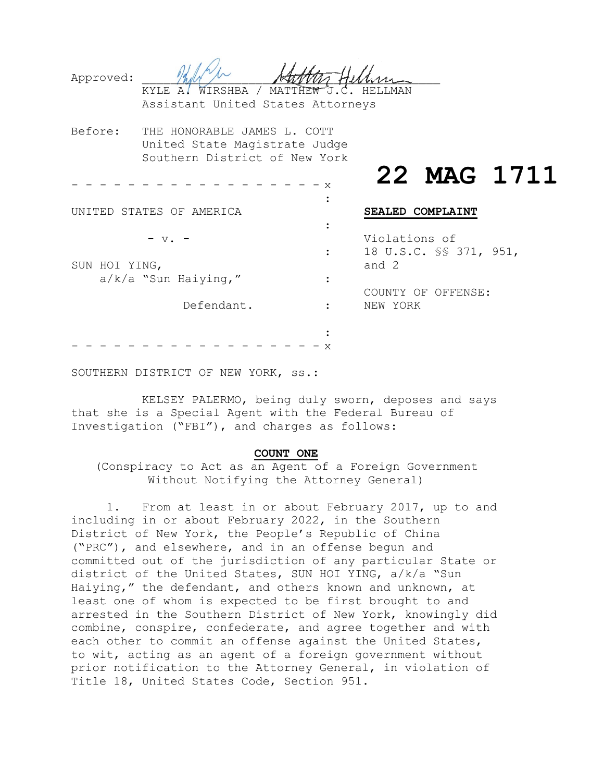| Approved:     | WIRSHBA / MATTHEW J.C.<br>KYLE A/<br>Assistant United States Attorneys                        |   | HELLMAN       |                        |             |
|---------------|-----------------------------------------------------------------------------------------------|---|---------------|------------------------|-------------|
| Before:       | THE HONORABLE JAMES L. COTT<br>United State Magistrate Judge<br>Southern District of New York |   |               |                        |             |
|               |                                                                                               | X |               |                        | 22 MAG 1711 |
|               | UNITED STATES OF AMERICA                                                                      |   |               | SEALED COMPLAINT       |             |
|               | $V$ .                                                                                         |   | Violations of |                        |             |
| SUN HOI YING, |                                                                                               |   | and 2         | 18 U.S.C. SS 371, 951, |             |
|               | $a/k/a$ "Sun Haiying,"                                                                        |   |               | COUNTY OF OFFENSE:     |             |
|               | Defendant.                                                                                    |   | NEW YORK      |                        |             |
|               |                                                                                               |   |               |                        |             |
|               |                                                                                               | x |               |                        |             |

SOUTHERN DISTRICT OF NEW YORK, ss.:

KELSEY PALERMO, being duly sworn, deposes and says that she is a Special Agent with the Federal Bureau of Investigation ("FBI"), and charges as follows:

#### **COUNT ONE**

(Conspiracy to Act as an Agent of a Foreign Government Without Notifying the Attorney General)

1. From at least in or about February 2017, up to and including in or about February 2022, in the Southern District of New York, the People's Republic of China ("PRC"), and elsewhere, and in an offense begun and committed out of the jurisdiction of any particular State or district of the United States, SUN HOI YING, a/k/a "Sun Haiying," the defendant, and others known and unknown, at least one of whom is expected to be first brought to and arrested in the Southern District of New York, knowingly did combine, conspire, confederate, and agree together and with each other to commit an offense against the United States, to wit, acting as an agent of a foreign government without prior notification to the Attorney General, in violation of Title 18, United States Code, Section 951.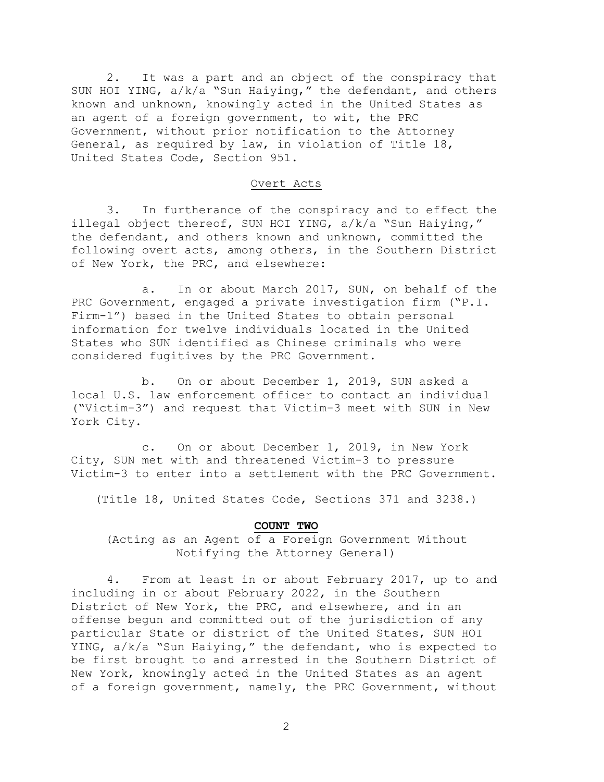2. It was a part and an object of the conspiracy that SUN HOI YING, a/k/a "Sun Haiying," the defendant, and others known and unknown, knowingly acted in the United States as an agent of a foreign government, to wit, the PRC Government, without prior notification to the Attorney General, as required by law, in violation of Title 18, United States Code, Section 951.

### Overt Acts

3. In furtherance of the conspiracy and to effect the illegal object thereof, SUN HOI YING, a/k/a "Sun Haiying," the defendant, and others known and unknown, committed the following overt acts, among others, in the Southern District of New York, the PRC, and elsewhere:

a. In or about March 2017, SUN, on behalf of the PRC Government, engaged a private investigation firm ("P.I. Firm-1") based in the United States to obtain personal information for twelve individuals located in the United States who SUN identified as Chinese criminals who were considered fugitives by the PRC Government.

b. On or about December 1, 2019, SUN asked a local U.S. law enforcement officer to contact an individual ("Victim-3") and request that Victim-3 meet with SUN in New York City.

c. On or about December 1, 2019, in New York City, SUN met with and threatened Victim-3 to pressure Victim-3 to enter into a settlement with the PRC Government.

(Title 18, United States Code, Sections 371 and 3238.)

#### **COUNT TWO**

(Acting as an Agent of a Foreign Government Without Notifying the Attorney General)

4. From at least in or about February 2017, up to and including in or about February 2022, in the Southern District of New York, the PRC, and elsewhere, and in an offense begun and committed out of the jurisdiction of any particular State or district of the United States, SUN HOI YING, a/k/a "Sun Haiying," the defendant, who is expected to be first brought to and arrested in the Southern District of New York, knowingly acted in the United States as an agent of a foreign government, namely, the PRC Government, without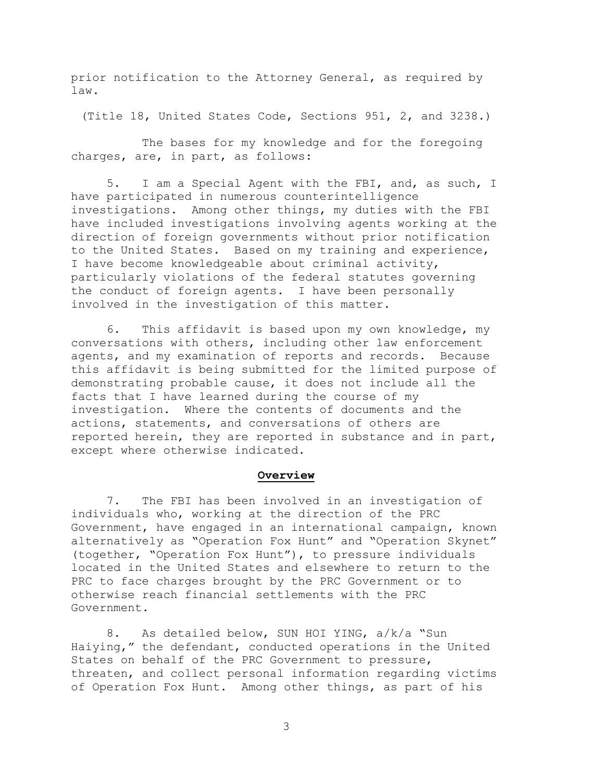prior notification to the Attorney General, as required by law.

(Title 18, United States Code, Sections 951, 2, and 3238.)

The bases for my knowledge and for the foregoing charges, are, in part, as follows:

5. I am a Special Agent with the FBI, and, as such, I have participated in numerous counterintelligence investigations. Among other things, my duties with the FBI have included investigations involving agents working at the direction of foreign governments without prior notification to the United States. Based on my training and experience, I have become knowledgeable about criminal activity, particularly violations of the federal statutes governing the conduct of foreign agents. I have been personally involved in the investigation of this matter.

6. This affidavit is based upon my own knowledge, my conversations with others, including other law enforcement agents, and my examination of reports and records. Because this affidavit is being submitted for the limited purpose of demonstrating probable cause, it does not include all the facts that I have learned during the course of my investigation. Where the contents of documents and the actions, statements, and conversations of others are reported herein, they are reported in substance and in part, except where otherwise indicated.

### **Overview**

7. The FBI has been involved in an investigation of individuals who, working at the direction of the PRC Government, have engaged in an international campaign, known alternatively as "Operation Fox Hunt" and "Operation Skynet" (together, "Operation Fox Hunt"), to pressure individuals located in the United States and elsewhere to return to the PRC to face charges brought by the PRC Government or to otherwise reach financial settlements with the PRC Government.

8. As detailed below, SUN HOI YING, a/k/a "Sun Haiying," the defendant, conducted operations in the United States on behalf of the PRC Government to pressure, threaten, and collect personal information regarding victims of Operation Fox Hunt. Among other things, as part of his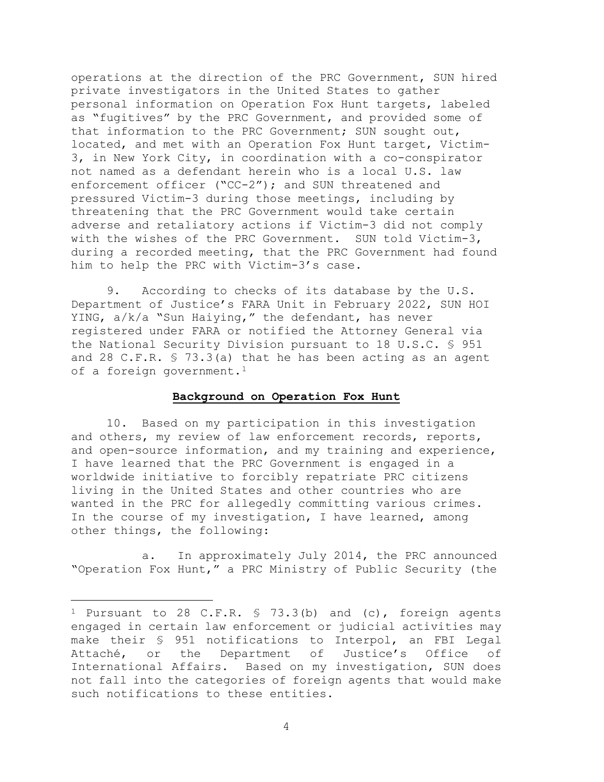operations at the direction of the PRC Government, SUN hired private investigators in the United States to gather personal information on Operation Fox Hunt targets, labeled as "fugitives" by the PRC Government, and provided some of that information to the PRC Government; SUN sought out, located, and met with an Operation Fox Hunt target, Victim-3, in New York City, in coordination with a co-conspirator not named as a defendant herein who is a local U.S. law enforcement officer ("CC-2"); and SUN threatened and pressured Victim-3 during those meetings, including by threatening that the PRC Government would take certain adverse and retaliatory actions if Victim-3 did not comply with the wishes of the PRC Government. SUN told Victim-3, during a recorded meeting, that the PRC Government had found him to help the PRC with Victim-3's case.

9. According to checks of its database by the U.S. Department of Justice's FARA Unit in February 2022, SUN HOI YING, a/k/a "Sun Haiying," the defendant, has never registered under FARA or notified the Attorney General via the National Security Division pursuant to 18 U.S.C. § 951 and 28 C.F.R. § 73.3(a) that he has been acting as an agent of a foreign government.<sup>1</sup>

### **Background on Operation Fox Hunt**

10. Based on my participation in this investigation and others, my review of law enforcement records, reports, and open-source information, and my training and experience, I have learned that the PRC Government is engaged in a worldwide initiative to forcibly repatriate PRC citizens living in the United States and other countries who are wanted in the PRC for allegedly committing various crimes. In the course of my investigation, I have learned, among other things, the following:

a. In approximately July 2014, the PRC announced "Operation Fox Hunt," a PRC Ministry of Public Security (the

4

<sup>&</sup>lt;sup>1</sup> Pursuant to 28 C.F.R.  $\frac{1}{2}$  73.3(b) and (c), foreign agents engaged in certain law enforcement or judicial activities may make their § 951 notifications to Interpol, an FBI Legal<br>Attaché, or the Department of Justice's Office of Attaché, or the Department of International Affairs. Based on my investigation, SUN does not fall into the categories of foreign agents that would make such notifications to these entities.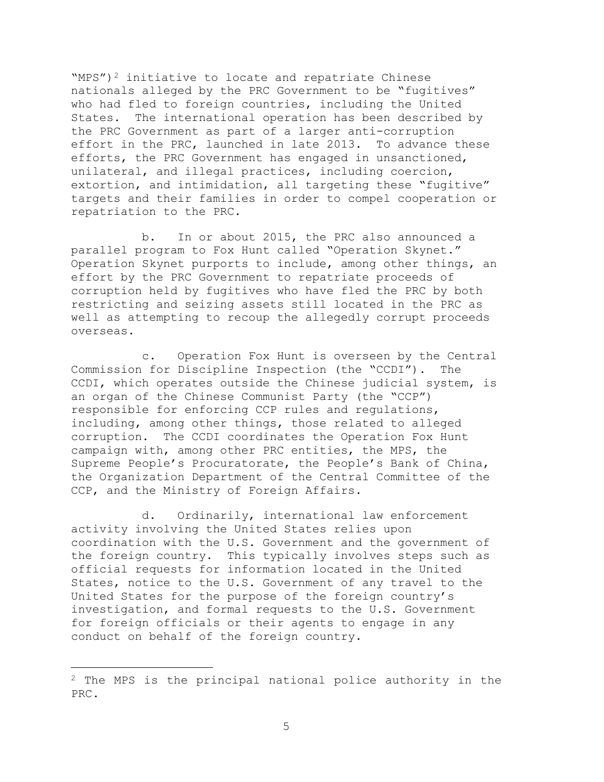"MPS")<sup>2</sup> initiative to locate and repatriate Chinese nationals alleged by the PRC Government to be "fugitives" who had fled to foreign countries, including the United States. The international operation has been described by the PRC Government as part of a larger anti-corruption effort in the PRC, launched in late 2013. To advance these efforts, the PRC Government has engaged in unsanctioned, unilateral, and illegal practices, including coercion, extortion, and intimidation, all targeting these "fugitive" targets and their families in order to compel cooperation or repatriation to the PRC.

b. In or about 2015, the PRC also announced a parallel program to Fox Hunt called "Operation Skynet." Operation Skynet purports to include, among other things, an effort by the PRC Government to repatriate proceeds of corruption held by fugitives who have fled the PRC by both restricting and seizing assets still located in the PRC as well as attempting to recoup the allegedly corrupt proceeds overseas.

c. Operation Fox Hunt is overseen by the Central Commission for Discipline Inspection (the "CCDI"). The CCDI, which operates outside the Chinese judicial system, is an organ of the Chinese Communist Party (the "CCP") responsible for enforcing CCP rules and regulations, including, among other things, those related to alleged corruption. The CCDI coordinates the Operation Fox Hunt campaign with, among other PRC entities, the MPS, the Supreme People's Procuratorate, the People's Bank of China, the Organization Department of the Central Committee of the CCP, and the Ministry of Foreign Affairs.

d. Ordinarily, international law enforcement activity involving the United States relies upon coordination with the U.S. Government and the government of the foreign country. This typically involves steps such as official requests for information located in the United States, notice to the U.S. Government of any travel to the United States for the purpose of the foreign country's investigation, and formal requests to the U.S. Government for foreign officials or their agents to engage in any conduct on behalf of the foreign country.

<sup>2</sup> The MPS is the principal national police authority in the PRC.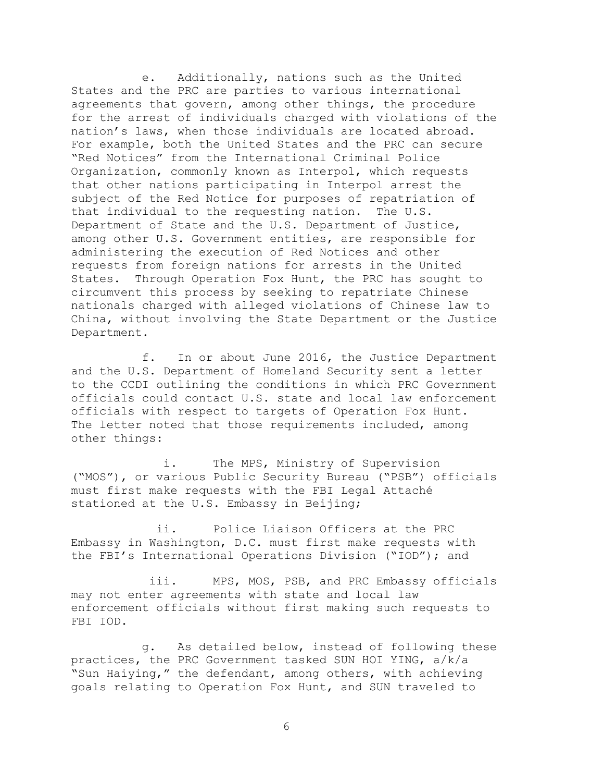e. Additionally, nations such as the United States and the PRC are parties to various international agreements that govern, among other things, the procedure for the arrest of individuals charged with violations of the nation's laws, when those individuals are located abroad. For example, both the United States and the PRC can secure "Red Notices" from the International Criminal Police Organization, commonly known as Interpol, which requests that other nations participating in Interpol arrest the subject of the Red Notice for purposes of repatriation of that individual to the requesting nation. The U.S. Department of State and the U.S. Department of Justice, among other U.S. Government entities, are responsible for administering the execution of Red Notices and other requests from foreign nations for arrests in the United States. Through Operation Fox Hunt, the PRC has sought to circumvent this process by seeking to repatriate Chinese nationals charged with alleged violations of Chinese law to China, without involving the State Department or the Justice Department.

f. In or about June 2016, the Justice Department and the U.S. Department of Homeland Security sent a letter to the CCDI outlining the conditions in which PRC Government officials could contact U.S. state and local law enforcement officials with respect to targets of Operation Fox Hunt. The letter noted that those requirements included, among other things:

i. The MPS, Ministry of Supervision ("MOS"), or various Public Security Bureau ("PSB") officials must first make requests with the FBI Legal Attaché stationed at the U.S. Embassy in Beijing;

ii. Police Liaison Officers at the PRC Embassy in Washington, D.C. must first make requests with the FBI's International Operations Division ("IOD"); and

iii. MPS, MOS, PSB, and PRC Embassy officials may not enter agreements with state and local law enforcement officials without first making such requests to FBI IOD.

g. As detailed below, instead of following these practices, the PRC Government tasked SUN HOI YING, a/k/a "Sun Haiying," the defendant, among others, with achieving goals relating to Operation Fox Hunt, and SUN traveled to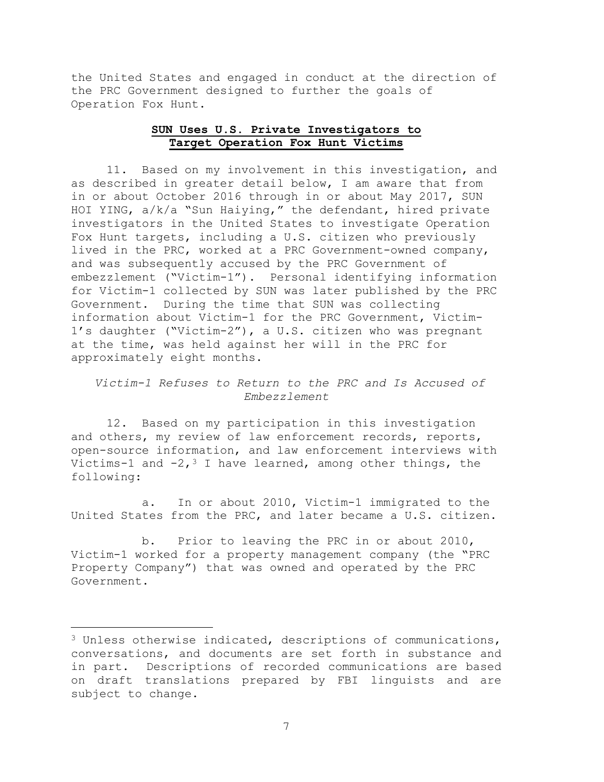the United States and engaged in conduct at the direction of the PRC Government designed to further the goals of Operation Fox Hunt.

# **SUN Uses U.S. Private Investigators to Target Operation Fox Hunt Victims**

11. Based on my involvement in this investigation, and as described in greater detail below, I am aware that from in or about October 2016 through in or about May 2017, SUN HOI YING, a/k/a "Sun Haiying," the defendant, hired private investigators in the United States to investigate Operation Fox Hunt targets, including a U.S. citizen who previously lived in the PRC, worked at a PRC Government-owned company, and was subsequently accused by the PRC Government of embezzlement ("Victim-1"). Personal identifying information for Victim-1 collected by SUN was later published by the PRC Government. During the time that SUN was collecting information about Victim-1 for the PRC Government, Victim-1's daughter ("Victim-2"), a U.S. citizen who was pregnant at the time, was held against her will in the PRC for approximately eight months.

# *Victim-1 Refuses to Return to the PRC and Is Accused of Embezzlement*

12. Based on my participation in this investigation and others, my review of law enforcement records, reports, open-source information, and law enforcement interviews with Victims-1 and  $-2,3$  I have learned, among other things, the following:

a. In or about 2010, Victim-1 immigrated to the United States from the PRC, and later became a U.S. citizen.

b. Prior to leaving the PRC in or about 2010, Victim-1 worked for a property management company (the "PRC Property Company") that was owned and operated by the PRC Government.

<sup>3</sup> Unless otherwise indicated, descriptions of communications, conversations, and documents are set forth in substance and in part. Descriptions of recorded communications are based on draft translations prepared by FBI linguists and are subject to change.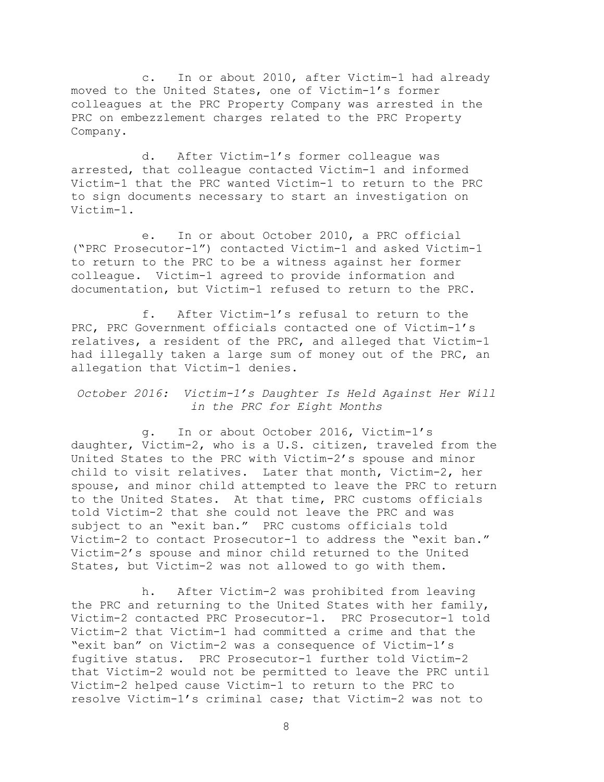c. In or about 2010, after Victim-1 had already moved to the United States, one of Victim-1's former colleagues at the PRC Property Company was arrested in the PRC on embezzlement charges related to the PRC Property Company.

d. After Victim-1's former colleague was arrested, that colleague contacted Victim-1 and informed Victim-1 that the PRC wanted Victim-1 to return to the PRC to sign documents necessary to start an investigation on Victim-1.

e. In or about October 2010, a PRC official ("PRC Prosecutor-1") contacted Victim-1 and asked Victim-1 to return to the PRC to be a witness against her former colleague. Victim-1 agreed to provide information and documentation, but Victim-1 refused to return to the PRC.

f. After Victim-1's refusal to return to the PRC, PRC Government officials contacted one of Victim-1's relatives, a resident of the PRC, and alleged that Victim-1 had illegally taken a large sum of money out of the PRC, an allegation that Victim-1 denies.

*October 2016: Victim-1's Daughter Is Held Against Her Will in the PRC for Eight Months* 

g. In or about October 2016, Victim-1's daughter, Victim-2, who is a U.S. citizen, traveled from the United States to the PRC with Victim-2's spouse and minor child to visit relatives. Later that month, Victim-2, her spouse, and minor child attempted to leave the PRC to return to the United States. At that time, PRC customs officials told Victim-2 that she could not leave the PRC and was subject to an "exit ban." PRC customs officials told Victim-2 to contact Prosecutor-1 to address the "exit ban." Victim-2's spouse and minor child returned to the United States, but Victim-2 was not allowed to go with them.

h. After Victim-2 was prohibited from leaving the PRC and returning to the United States with her family, Victim-2 contacted PRC Prosecutor-1. PRC Prosecutor-1 told Victim-2 that Victim-1 had committed a crime and that the "exit ban" on Victim-2 was a consequence of Victim-1's fugitive status. PRC Prosecutor-1 further told Victim-2 that Victim-2 would not be permitted to leave the PRC until Victim-2 helped cause Victim-1 to return to the PRC to resolve Victim-1's criminal case; that Victim-2 was not to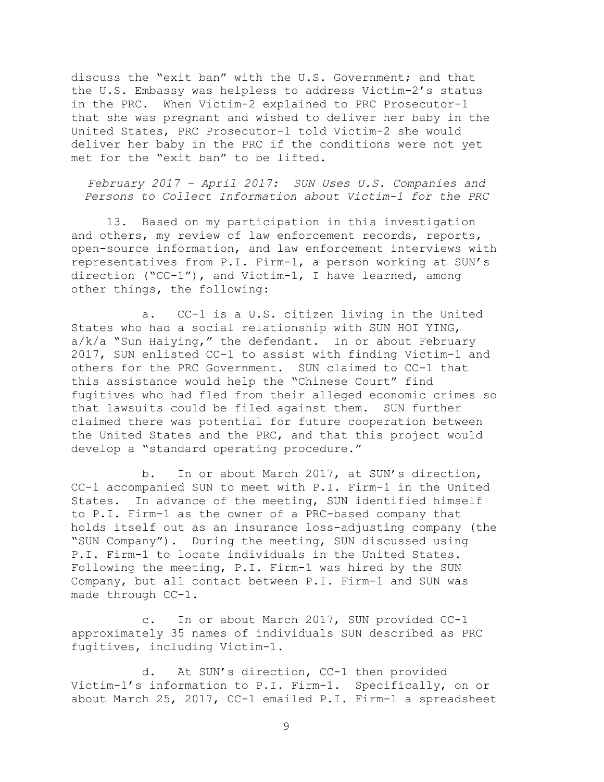discuss the "exit ban" with the U.S. Government; and that the U.S. Embassy was helpless to address Victim-2's status in the PRC. When Victim-2 explained to PRC Prosecutor-1 that she was pregnant and wished to deliver her baby in the United States, PRC Prosecutor-1 told Victim-2 she would deliver her baby in the PRC if the conditions were not yet met for the "exit ban" to be lifted.

*February 2017 – April 2017: SUN Uses U.S. Companies and Persons to Collect Information about Victim-1 for the PRC* 

13. Based on my participation in this investigation and others, my review of law enforcement records, reports, open-source information, and law enforcement interviews with representatives from P.I. Firm-1, a person working at SUN's direction ("CC-1"), and Victim-1, I have learned, among other things, the following:

a. CC-1 is a U.S. citizen living in the United States who had a social relationship with SUN HOI YING, a/k/a "Sun Haiying," the defendant. In or about February 2017, SUN enlisted CC-1 to assist with finding Victim-1 and others for the PRC Government. SUN claimed to CC-1 that this assistance would help the "Chinese Court" find fugitives who had fled from their alleged economic crimes so<br>that lawsuits could be filed against them. SUN further that lawsuits could be filed against them. claimed there was potential for future cooperation between the United States and the PRC, and that this project would develop a "standard operating procedure."

b. In or about March 2017, at SUN's direction, CC-1 accompanied SUN to meet with P.I. Firm-1 in the United States. In advance of the meeting, SUN identified himself to P.I. Firm-1 as the owner of a PRC-based company that holds itself out as an insurance loss-adjusting company (the "SUN Company"). During the meeting, SUN discussed using P.I. Firm-1 to locate individuals in the United States. Following the meeting, P.I. Firm-1 was hired by the SUN Company, but all contact between P.I. Firm-1 and SUN was made through CC-1.

c. In or about March 2017, SUN provided CC-1 approximately 35 names of individuals SUN described as PRC fugitives, including Victim-1.

d. At SUN's direction, CC-1 then provided Victim-1's information to P.I. Firm-1. Specifically, on or about March 25, 2017, CC-1 emailed P.I. Firm-1 a spreadsheet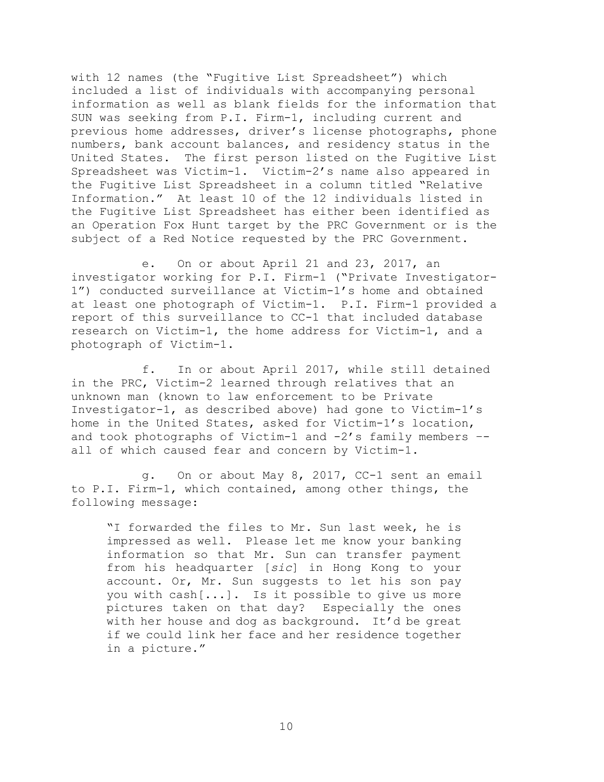with 12 names (the "Fugitive List Spreadsheet") which included a list of individuals with accompanying personal information as well as blank fields for the information that SUN was seeking from P.I. Firm-1, including current and previous home addresses, driver's license photographs, phone numbers, bank account balances, and residency status in the United States. The first person listed on the Fugitive List Spreadsheet was Victim-1. Victim-2's name also appeared in the Fugitive List Spreadsheet in a column titled "Relative Information." At least 10 of the 12 individuals listed in the Fugitive List Spreadsheet has either been identified as an Operation Fox Hunt target by the PRC Government or is the subject of a Red Notice requested by the PRC Government.

e. On or about April 21 and 23, 2017, an investigator working for P.I. Firm-1 ("Private Investigator-1") conducted surveillance at Victim-1's home and obtained at least one photograph of Victim-1. P.I. Firm-1 provided a report of this surveillance to CC-1 that included database research on Victim-1, the home address for Victim-1, and a photograph of Victim-1.

f. In or about April 2017, while still detained in the PRC, Victim-2 learned through relatives that an unknown man (known to law enforcement to be Private Investigator-1, as described above) had gone to Victim-1's home in the United States, asked for Victim-1's location, and took photographs of Victim-1 and  $-2'$ s family members  $-$ all of which caused fear and concern by Victim-1.

g. On or about May 8, 2017, CC-1 sent an email to P.I. Firm-1, which contained, among other things, the following message:

 pictures taken on that day? Especially the ones "I forwarded the files to Mr. Sun last week, he is impressed as well. Please let me know your banking information so that Mr. Sun can transfer payment from his headquarter [*sic*] in Hong Kong to your account. Or, Mr. Sun suggests to let his son pay you with cash[...]. Is it possible to give us more with her house and dog as background. It'd be great if we could link her face and her residence together in a picture."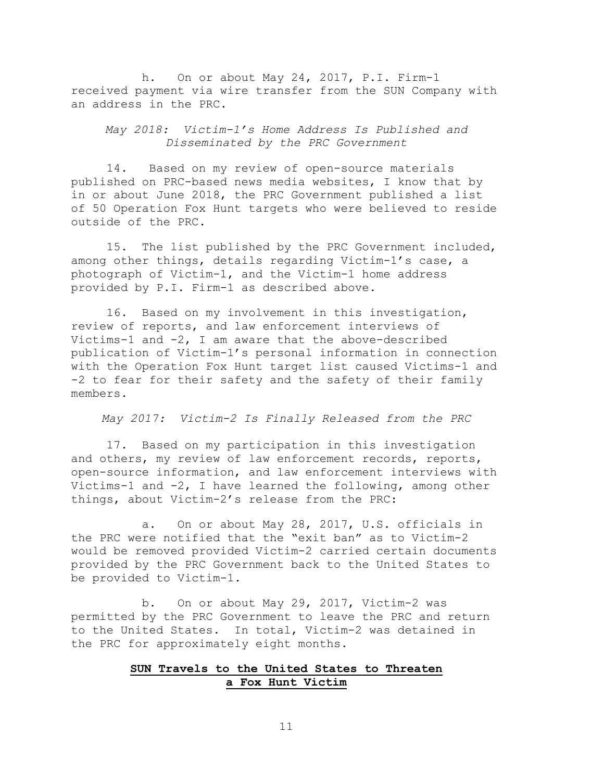h. On or about May 24, 2017, P.I. Firm-1 received payment via wire transfer from the SUN Company with an address in the PRC.

*May 2018: Victim-1's Home Address Is Published and Disseminated by the PRC Government* 

14. Based on my review of open-source materials published on PRC-based news media websites, I know that by in or about June 2018, the PRC Government published a list of 50 Operation Fox Hunt targets who were believed to reside outside of the PRC.

15. The list published by the PRC Government included, among other things, details regarding Victim-1's case, a photograph of Victim-1, and the Victim-1 home address provided by P.I. Firm-1 as described above.

16. Based on my involvement in this investigation, review of reports, and law enforcement interviews of Victims-1 and -2, I am aware that the above-described publication of Victim-1's personal information in connection with the Operation Fox Hunt target list caused Victims-1 and -2 to fear for their safety and the safety of their family members.

*May 2017: Victim-2 Is Finally Released from the PRC* 

17. Based on my participation in this investigation and others, my review of law enforcement records, reports, open-source information, and law enforcement interviews with Victims-1 and -2, I have learned the following, among other things, about Victim-2's release from the PRC:

a. On or about May 28, 2017, U.S. officials in the PRC were notified that the "exit ban" as to Victim-2 would be removed provided Victim-2 carried certain documents provided by the PRC Government back to the United States to be provided to Victim-1.

b. On or about May 29, 2017, Victim-2 was permitted by the PRC Government to leave the PRC and return to the United States. In total, Victim-2 was detained in the PRC for approximately eight months.

### **SUN Travels to the United States to Threaten a Fox Hunt Victim**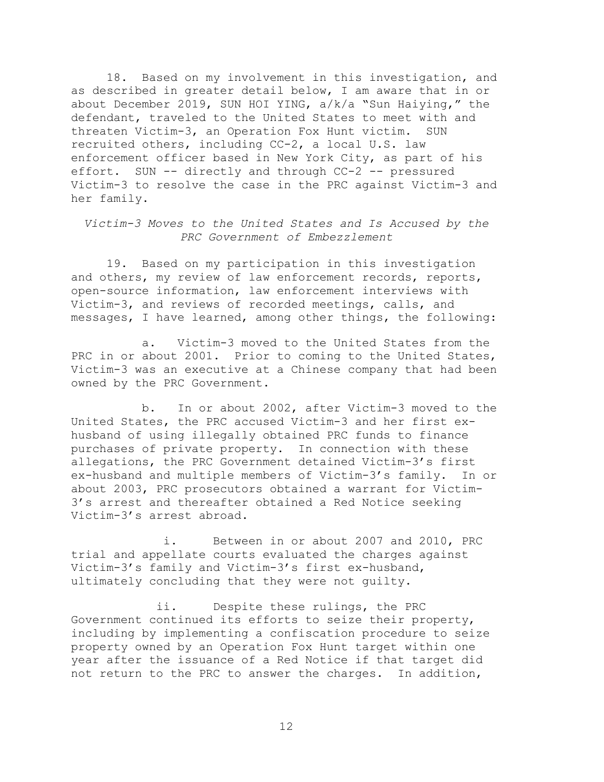18. Based on my involvement in this investigation, and as described in greater detail below, I am aware that in or about December 2019, SUN HOI YING, a/k/a "Sun Haiying," the defendant, traveled to the United States to meet with and threaten Victim-3, an Operation Fox Hunt victim. SUN recruited others, including CC-2, a local U.S. law enforcement officer based in New York City, as part of his effort. SUN -- directly and through CC-2 -- pressured Victim-3 to resolve the case in the PRC against Victim-3 and her family.

*Victim-3 Moves to the United States and Is Accused by the PRC Government of Embezzlement* 

19. Based on my participation in this investigation and others, my review of law enforcement records, reports, open-source information, law enforcement interviews with Victim-3, and reviews of recorded meetings, calls, and messages, I have learned, among other things, the following:

a. Victim-3 moved to the United States from the PRC in or about 2001. Prior to coming to the United States, Victim-3 was an executive at a Chinese company that had been owned by the PRC Government.

b. In or about 2002, after Victim-3 moved to the United States, the PRC accused Victim-3 and her first exhusband of using illegally obtained PRC funds to finance purchases of private property. In connection with these allegations, the PRC Government detained Victim-3's first ex-husband and multiple members of Victim-3's family. In or about 2003, PRC prosecutors obtained a warrant for Victim-3's arrest and thereafter obtained a Red Notice seeking Victim-3's arrest abroad.

i. Between in or about 2007 and 2010, PRC trial and appellate courts evaluated the charges against Victim-3's family and Victim-3's first ex-husband, ultimately concluding that they were not guilty.

ii. Despite these rulings, the PRC Government continued its efforts to seize their property, including by implementing a confiscation procedure to seize property owned by an Operation Fox Hunt target within one year after the issuance of a Red Notice if that target did not return to the PRC to answer the charges. In addition,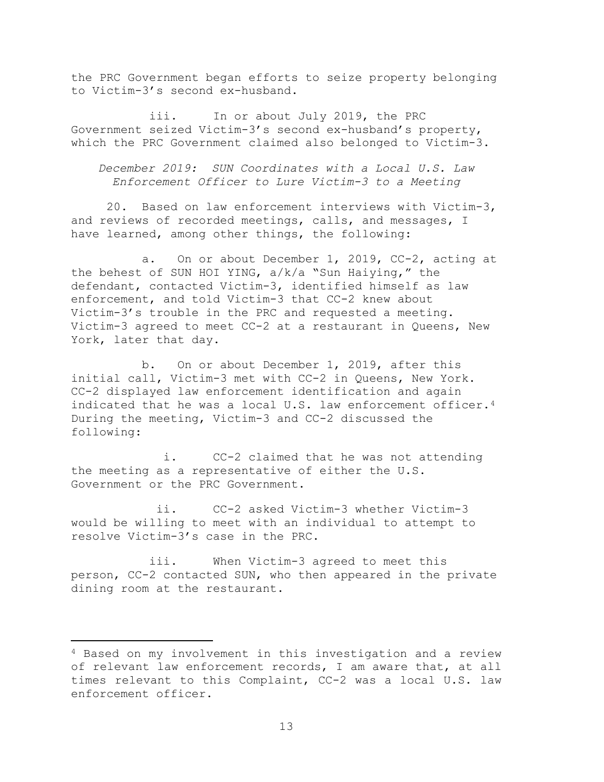the PRC Government began efforts to seize property belonging to Victim-3's second ex-husband.

iii. In or about July 2019, the PRC Government seized Victim-3's second ex-husband's property, which the PRC Government claimed also belonged to Victim-3.

*December 2019: SUN Coordinates with a Local U.S. Law Enforcement Officer to Lure Victim-3 to a Meeting* 

20. Based on law enforcement interviews with Victim-3, and reviews of recorded meetings, calls, and messages, I have learned, among other things, the following:

a. On or about December 1, 2019, CC-2, acting at the behest of SUN HOI YING,  $a/k/a$  "Sun Haiying," the defendant, contacted Victim-3, identified himself as law enforcement, and told Victim-3 that CC-2 knew about Victim-3's trouble in the PRC and requested a meeting. Victim-3 agreed to meet CC-2 at a restaurant in Queens, New York, later that day.

b. On or about December 1, 2019, after this initial call, Victim-3 met with CC-2 in Queens, New York. CC-2 displayed law enforcement identification and again indicated that he was a local U.S. law enforcement officer.<sup>4</sup> During the meeting, Victim-3 and CC-2 discussed the following:

i. CC-2 claimed that he was not attending the meeting as a representative of either the U.S. Government or the PRC Government.

ii. CC-2 asked Victim-3 whether Victim-3 would be willing to meet with an individual to attempt to resolve Victim-3's case in the PRC.

iii. When Victim-3 agreed to meet this person, CC-2 contacted SUN, who then appeared in the private dining room at the restaurant.

<sup>4</sup> Based on my involvement in this investigation and a review of relevant law enforcement records, I am aware that, at all times relevant to this Complaint, CC-2 was a local U.S. law enforcement officer.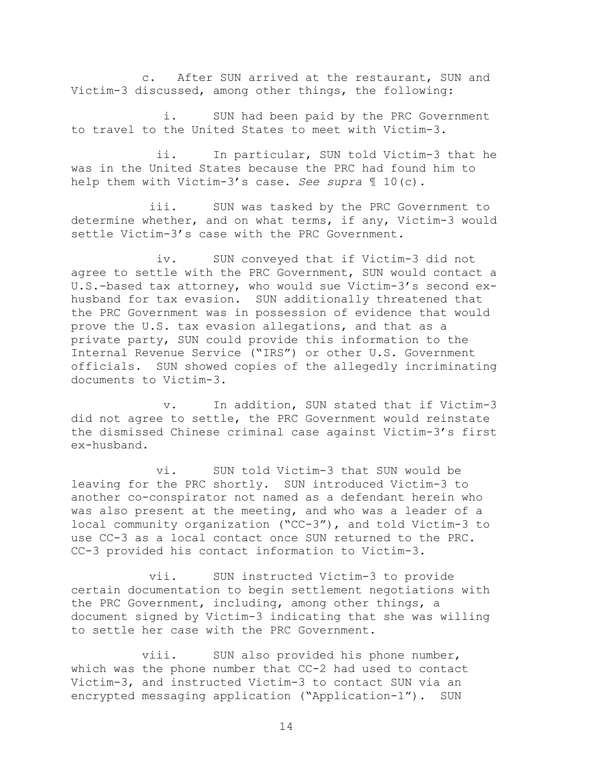c. After SUN arrived at the restaurant, SUN and Victim-3 discussed, among other things, the following:

i. SUN had been paid by the PRC Government to travel to the United States to meet with Victim-3.

ii. In particular, SUN told Victim-3 that he was in the United States because the PRC had found him to help them with Victim-3's case. *See supra* ¶ 10(c).

iii. SUN was tasked by the PRC Government to determine whether, and on what terms, if any, Victim-3 would settle Victim-3's case with the PRC Government.

iv. SUN conveyed that if Victim-3 did not agree to settle with the PRC Government, SUN would contact a U.S.-based tax attorney, who would sue Victim-3's second exhusband for tax evasion. SUN additionally threatened that the PRC Government was in possession of evidence that would prove the U.S. tax evasion allegations, and that as a private party, SUN could provide this information to the Internal Revenue Service ("IRS") or other U.S. Government officials. SUN showed copies of the allegedly incriminating documents to Victim-3.

v. In addition, SUN stated that if Victim-3 did not agree to settle, the PRC Government would reinstate the dismissed Chinese criminal case against Victim-3's first ex-husband.

vi. SUN told Victim-3 that SUN would be leaving for the PRC shortly. SUN introduced Victim-3 to another co-conspirator not named as a defendant herein who was also present at the meeting, and who was a leader of a local community organization ("CC-3"), and told Victim-3 to use CC-3 as a local contact once SUN returned to the PRC. CC-3 provided his contact information to Victim-3.

vii. SUN instructed Victim-3 to provide certain documentation to begin settlement negotiations with the PRC Government, including, among other things, a document signed by Victim-3 indicating that she was willing to settle her case with the PRC Government.

viii. SUN also provided his phone number, which was the phone number that CC-2 had used to contact Victim-3, and instructed Victim-3 to contact SUN via an encrypted messaging application ("Application-1"). SUN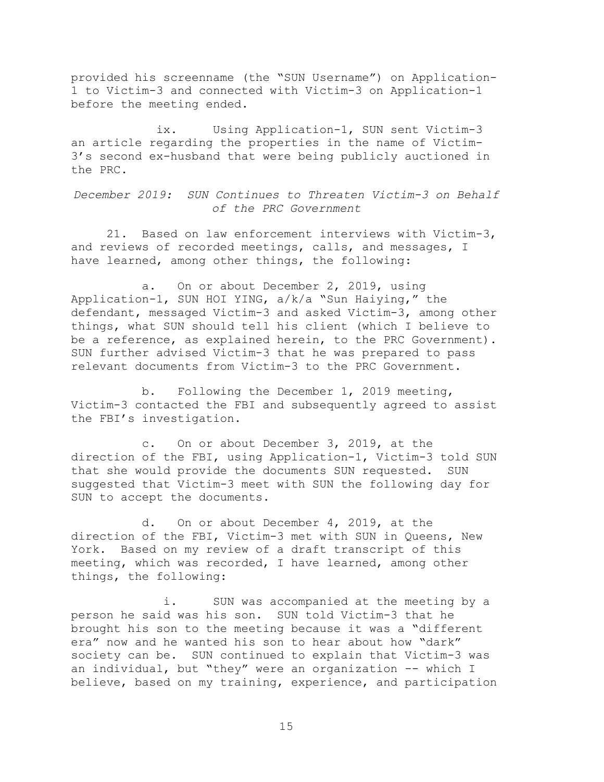provided his screenname (the "SUN Username") on Application-1 to Victim-3 and connected with Victim-3 on Application-1 before the meeting ended.

ix. Using Application-1, SUN sent Victim-3 an article regarding the properties in the name of Victim-3's second ex-husband that were being publicly auctioned in the PRC.

*December 2019: SUN Continues to Threaten Victim-3 on Behalf of the PRC Government* 

21. Based on law enforcement interviews with Victim-3, and reviews of recorded meetings, calls, and messages, I have learned, among other things, the following:

a. On or about December 2, 2019, using Application-1, SUN HOI YING, a/k/a "Sun Haiying," the defendant, messaged Victim-3 and asked Victim-3, among other things, what SUN should tell his client (which I believe to be a reference, as explained herein, to the PRC Government). SUN further advised Victim-3 that he was prepared to pass relevant documents from Victim-3 to the PRC Government.

b. Following the December 1, 2019 meeting, Victim-3 contacted the FBI and subsequently agreed to assist<br>the FBI's investigation.

c. On or about December 3, 2019, at the direction of the FBI, using Application-1, Victim-3 told SUN that she would provide the documents SUN requested. SUN suggested that Victim-3 meet with SUN the following day for SUN to accept the documents.

d. On or about December 4, 2019, at the direction of the FBI, Victim-3 met with SUN in Queens, New York. Based on my review of a draft transcript of this meeting, which was recorded, I have learned, among other things, the following:

 an individual, but "they" were an organization -- which I i. SUN was accompanied at the meeting by a person he said was his son. SUN told Victim-3 that he brought his son to the meeting because it was a "different era" now and he wanted his son to hear about how "dark" society can be. SUN continued to explain that Victim-3 was believe, based on my training, experience, and participation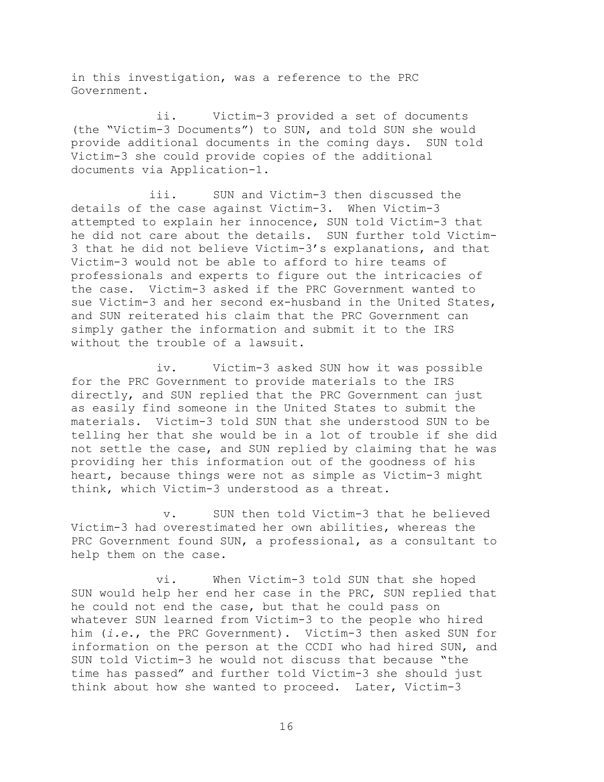in this investigation, was a reference to the PRC Government.

ii. Victim-3 provided a set of documents (the "Victim-3 Documents") to SUN, and told SUN she would provide additional documents in the coming days. SUN told Victim-3 she could provide copies of the additional documents via Application-1.

iii. SUN and Victim-3 then discussed the details of the case against Victim-3. When Victim-3 attempted to explain her innocence, SUN told Victim-3 that he did not care about the details. SUN further told Victim-3 that he did not believe Victim-3's explanations, and that Victim-3 would not be able to afford to hire teams of professionals and experts to figure out the intricacies of the case. Victim-3 asked if the PRC Government wanted to sue Victim-3 and her second ex-husband in the United States, and SUN reiterated his claim that the PRC Government can simply gather the information and submit it to the IRS without the trouble of a lawsuit.

iv. Victim-3 asked SUN how it was possible for the PRC Government to provide materials to the IRS directly, and SUN replied that the PRC Government can just as easily find someone in the United States to submit the materials. Victim-3 told SUN that she understood SUN to be telling her that she would be in a lot of trouble if she did not settle the case, and SUN replied by claiming that he was providing her this information out of the goodness of his heart, because things were not as simple as Victim-3 might think, which Victim-3 understood as a threat.

v. SUN then told Victim-3 that he believed Victim-3 had overestimated her own abilities, whereas the PRC Government found SUN, a professional, as a consultant to help them on the case.

vi. When Victim-3 told SUN that she hoped SUN would help her end her case in the PRC, SUN replied that he could not end the case, but that he could pass on whatever SUN learned from Victim-3 to the people who hired him (*i.e.*, the PRC Government). Victim-3 then asked SUN for information on the person at the CCDI who had hired SUN, and SUN told Victim-3 he would not discuss that because "the time has passed" and further told Victim-3 she should just think about how she wanted to proceed. Later, Victim-3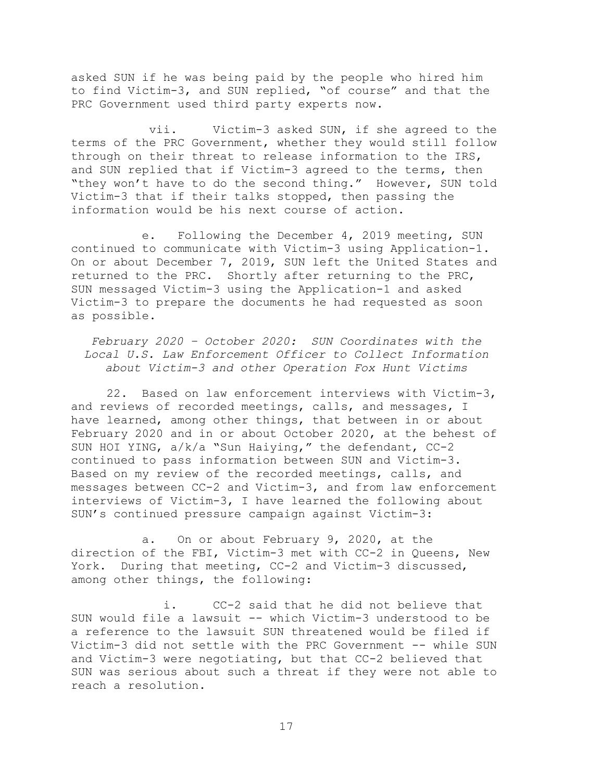asked SUN if he was being paid by the people who hired him to find Victim-3, and SUN replied, "of course" and that the PRC Government used third party experts now.

vii. Victim-3 asked SUN, if she agreed to the terms of the PRC Government, whether they would still follow through on their threat to release information to the IRS, and SUN replied that if Victim-3 agreed to the terms, then "they won't have to do the second thing." However, SUN told Victim-3 that if their talks stopped, then passing the information would be his next course of action.

e. Following the December 4, 2019 meeting, SUN continued to communicate with Victim-3 using Application-1. On or about December 7, 2019, SUN left the United States and returned to the PRC. Shortly after returning to the PRC, SUN messaged Victim-3 using the Application-1 and asked Victim-3 to prepare the documents he had requested as soon as possible.

*February 2020 – October 2020: SUN Coordinates with the Local U.S. Law Enforcement Officer to Collect Information about Victim-3 and other Operation Fox Hunt Victims* 

22. Based on law enforcement interviews with Victim-3, and reviews of recorded meetings, calls, and messages, I have learned, among other things, that between in or about February 2020 and in or about October 2020, at the behest of SUN HOI YING, a/k/a "Sun Haiying," the defendant, CC-2 continued to pass information between SUN and Victim-3. Based on my review of the recorded meetings, calls, and messages between CC-2 and Victim-3, and from law enforcement interviews of Victim-3, I have learned the following about SUN's continued pressure campaign against Victim-3:

a. On or about February 9, 2020, at the direction of the FBI, Victim-3 met with CC-2 in Queens, New York. During that meeting, CC-2 and Victim-3 discussed, among other things, the following:

i. CC-2 said that he did not believe that SUN would file a lawsuit -- which Victim-3 understood to be a reference to the lawsuit SUN threatened would be filed if Victim-3 did not settle with the PRC Government -- while SUN and Victim-3 were negotiating, but that CC-2 believed that SUN was serious about such a threat if they were not able to reach a resolution.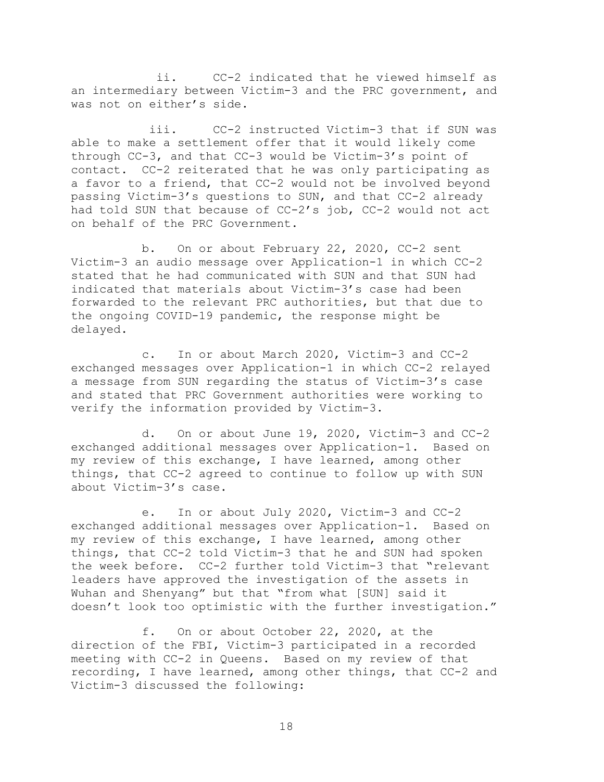ii. CC-2 indicated that he viewed himself as an intermediary between Victim-3 and the PRC government, and was not on either's side.

iii. CC-2 instructed Victim-3 that if SUN was able to make a settlement offer that it would likely come through CC-3, and that CC-3 would be Victim-3's point of contact. CC-2 reiterated that he was only participating as a favor to a friend, that CC-2 would not be involved beyond passing Victim-3's questions to SUN, and that CC-2 already had told SUN that because of CC-2's job, CC-2 would not act on behalf of the PRC Government.

b. On or about February 22, 2020, CC-2 sent Victim-3 an audio message over Application-1 in which CC-2 stated that he had communicated with SUN and that SUN had indicated that materials about Victim-3's case had been forwarded to the relevant PRC authorities, but that due to the ongoing COVID-19 pandemic, the response might be delayed.

c. In or about March 2020, Victim-3 and CC-2 exchanged messages over Application-1 in which CC-2 relayed a message from SUN regarding the status of Victim-3's case and stated that PRC Government authorities were working to verify the information provided by Victim-3.

d. On or about June 19, 2020, Victim-3 and CC-2 exchanged additional messages over Application-1. Based on my review of this exchange, I have learned, among other things, that CC-2 agreed to continue to follow up with SUN about Victim-3's case.

e. In or about July 2020, Victim-3 and CC-2<br>additional messages over Application-1. Based on exchanged additional messages over Application-1. my review of this exchange, I have learned, among other things, that CC-2 told Victim-3 that he and SUN had spoken the week before. CC-2 further told Victim-3 that "relevant leaders have approved the investigation of the assets in Wuhan and Shenyang" but that "from what [SUN] said it doesn't look too optimistic with the further investigation."

f. On or about October 22, 2020, at the direction of the FBI, Victim-3 participated in a recorded meeting with CC-2 in Queens. Based on my review of that recording, I have learned, among other things, that CC-2 and Victim-3 discussed the following: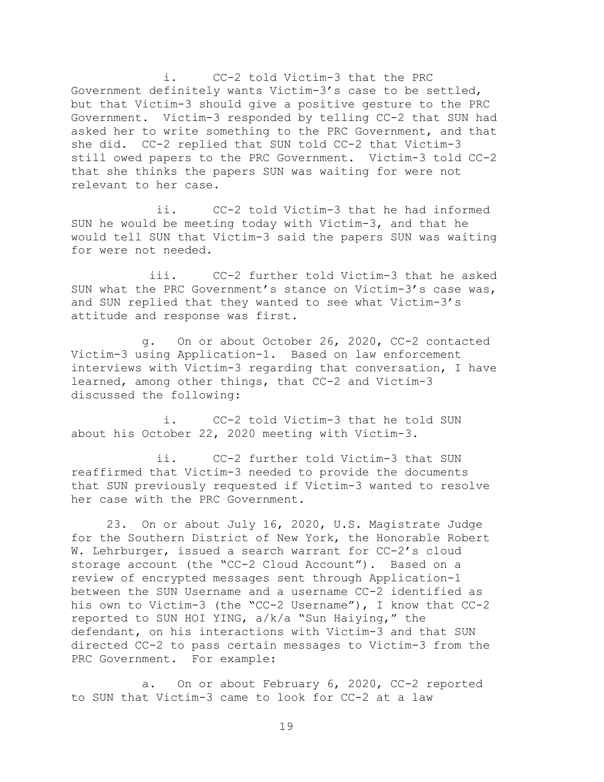i. CC-2 told Victim-3 that the PRC Government definitely wants Victim-3's case to be settled, but that Victim-3 should give a positive gesture to the PRC Government. Victim-3 responded by telling CC-2 that SUN had asked her to write something to the PRC Government, and that she did. CC-2 replied that SUN told CC-2 that Victim-3 still owed papers to the PRC Government. Victim-3 told CC-2 that she thinks the papers SUN was waiting for were not relevant to her case.

ii. CC-2 told Victim-3 that he had informed SUN he would be meeting today with Victim-3, and that he would tell SUN that Victim-3 said the papers SUN was waiting for were not needed.

iii. CC-2 further told Victim-3 that he asked SUN what the PRC Government's stance on Victim-3's case was, and SUN replied that they wanted to see what Victim-3's attitude and response was first.

g. On or about October 26, 2020, CC-2 contacted Victim-3 using Application-1. Based on law enforcement interviews with Victim-3 regarding that conversation, I have learned, among other things, that CC-2 and Victim-3 discussed the following:

i. CC-2 told Victim-3 that he told SUN about his October 22, 2020 meeting with Victim-3.

ii. CC-2 further told Victim-3 that SUN reaffirmed that Victim-3 needed to provide the documents that SUN previously requested if Victim-3 wanted to resolve her case with the PRC Government.

23. On or about July 16, 2020, U.S. Magistrate Judge for the Southern District of New York, the Honorable Robert W. Lehrburger, issued a search warrant for CC-2's cloud storage account (the "CC-2 Cloud Account"). Based on a review of encrypted messages sent through Application-1 between the SUN Username and a username CC-2 identified as his own to Victim-3 (the "CC-2 Username"), I know that CC-2 reported to SUN HOI YING, a/k/a "Sun Haiying," the defendant, on his interactions with Victim-3 and that SUN directed CC-2 to pass certain messages to Victim-3 from the PRC Government. For example:

a. On or about February 6, 2020, CC-2 reported to SUN that Victim-3 came to look for CC-2 at a law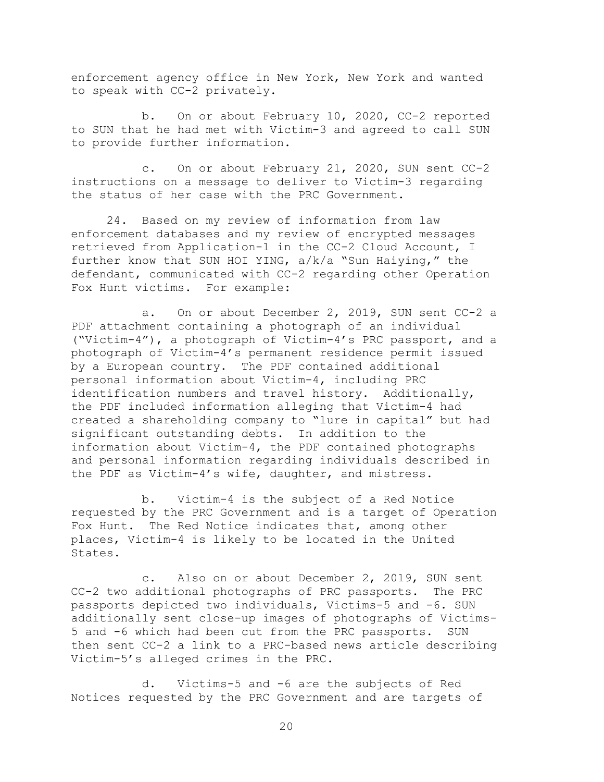enforcement agency office in New York, New York and wanted to speak with CC-2 privately.

b. On or about February 10, 2020, CC-2 reported to SUN that he had met with Victim-3 and agreed to call SUN to provide further information.

c. On or about February 21, 2020, SUN sent CC-2 instructions on a message to deliver to Victim-3 regarding the status of her case with the PRC Government.

24. Based on my review of information from law enforcement databases and my review of encrypted messages retrieved from Application-1 in the CC-2 Cloud Account, I further know that SUN HOI YING, a/k/a "Sun Haiying," the defendant, communicated with CC-2 regarding other Operation Fox Hunt victims. For example:

a. On or about December 2, 2019, SUN sent CC-2 a PDF attachment containing a photograph of an individual ("Victim-4"), a photograph of Victim-4's PRC passport, and a photograph of Victim-4's permanent residence permit issued by a European country. The PDF contained additional personal information about Victim-4, including PRC identification numbers and travel history. Additionally, the PDF included information alleging that Victim-4 had created a shareholding company to "lure in capital" but had significant outstanding debts. In addition to the information about Victim-4, the PDF contained photographs and personal information regarding individuals described in the PDF as Victim-4's wife, daughter, and mistress.

b. Victim-4 is the subject of a Red Notice requested by the PRC Government and is a target of Operation Fox Hunt. The Red Notice indicates that, among other places, Victim-4 is likely to be located in the United States.

c. Also on or about December 2, 2019, SUN sent CC-2 two additional photographs of PRC passports. The PRC passports depicted two individuals, Victims-5 and -6. SUN additionally sent close-up images of photographs of Victims-5 and -6 which had been cut from the PRC passports. SUN then sent CC-2 a link to a PRC-based news article describing Victim-5's alleged crimes in the PRC.

d. Victims-5 and -6 are the subjects of Red Notices requested by the PRC Government and are targets of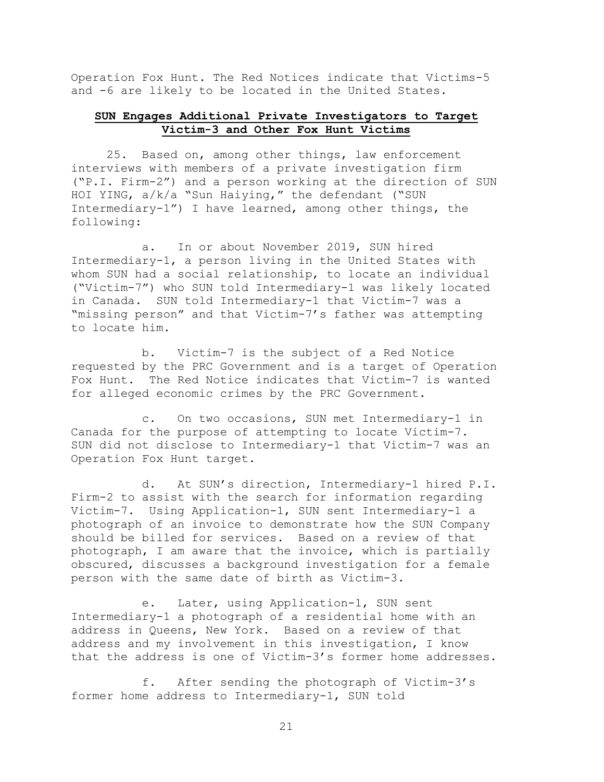Operation Fox Hunt. The Red Notices indicate that Victims-5 and -6 are likely to be located in the United States.

# **SUN Engages Additional Private Investigators to Target Victim-3 and Other Fox Hunt Victims**

25. Based on, among other things, law enforcement interviews with members of a private investigation firm ("P.I. Firm-2") and a person working at the direction of SUN HOI YING, a/k/a "Sun Haiying," the defendant ("SUN Intermediary-1") I have learned, among other things, the following:

a. In or about November 2019, SUN hired Intermediary-1, a person living in the United States with whom SUN had a social relationship, to locate an individual ("Victim-7") who SUN told Intermediary-1 was likely located in Canada. SUN told Intermediary-1 that Victim-7 was a "missing person" and that Victim-7's father was attempting to locate him.

b. Victim-7 is the subject of a Red Notice requested by the PRC Government and is a target of Operation Fox Hunt. The Red Notice indicates that Victim-7 is wanted for alleged economic crimes by the PRC Government.

c. On two occasions, SUN met Intermediary-1 in Canada for the purpose of attempting to locate Victim-7. SUN did not disclose to Intermediary-1 that Victim-7 was an Operation Fox Hunt target.

d. At SUN's direction, Intermediary-1 hired P.I. Firm-2 to assist with the search for information regarding Victim-7. Using Application-1, SUN sent Intermediary-1 a photograph of an invoice to demonstrate how the SUN Company should be billed for services. Based on a review of that photograph, I am aware that the invoice, which is partially obscured, discusses a background investigation for a female person with the same date of birth as Victim-3.

e. Later, using Application-1, SUN sent Intermediary-1 a photograph of a residential home with an address in Queens, New York. Based on a review of that address and my involvement in this investigation, I know that the address is one of Victim-3's former home addresses.

f. After sending the photograph of Victim-3's former home address to Intermediary-1, SUN told